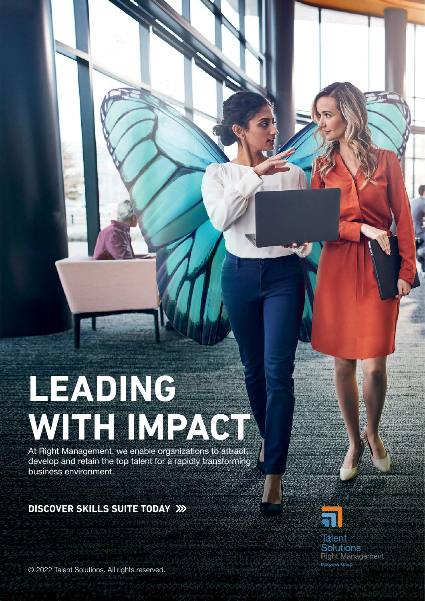# **LEADING WITH IMPACT**

At Right Management, we enable organizations to attract, develop and retain the top talent for a rapidly transforming business environment.

### **DISCOVER SKILLS SUITE TODAY**



© 2022 Talent Solutions. All rights reserved.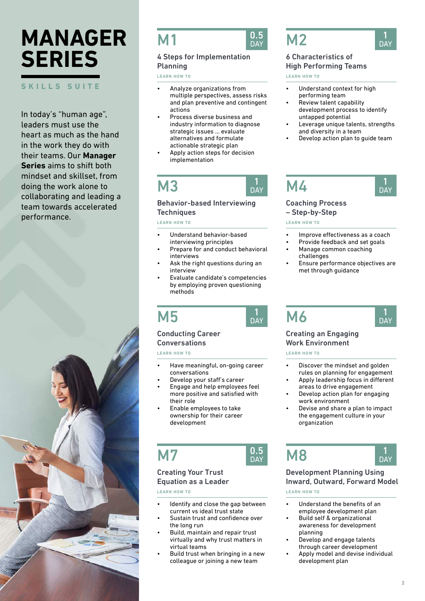# **MANAGER SERIES**

#### **SKILLS SUITE**

In today's "human age", leaders must use the heart as much as the hand in the work they do with their teams. Our **Manager Series** aims to shift both mindset and skillset, from doing the work alone to collaborating and leading a team towards accelerated performance.



### **M1**



DAY

#### 4 Steps for Implementation Planning

LEARN HOW TO

- Analyze organizations from multiple perspectives, assess risks and plan preventive and contingent actions
- Process diverse business and industry information to diagnose strategic issues … evaluate alternatives and formulate actionable strategic plan
- Apply action steps for decision implementation

## M3

#### Behavior-based Interviewing **Techniques**

LEARN HOW TO

- Understand behavior-based interviewing principles
- Prepare for and conduct behavioral interviews
- Ask the right questions during an interview
- Evaluate candidate's competencies by employing proven questioning methods



## **DA**

#### Conducting Career **Conversations**

LEARN HOW TO

- Have meaningful, on-going career conversations
- Develop your staff's career
- Engage and help employees feel more positive and satisfied with their role
- Enable employees to take ownership for their career development

M7



#### Creating Your Trust Equation as a Leader

LEARN HOW TO

- Identify and close the gap between current vs ideal trust state
- Sustain trust and confidence over the long run
- Build, maintain and repair trust virtually and why trust matters in virtual teams
- Build trust when bringing in a new colleague or joining a new team



#### 6 Characteristics of High Performing Teams

LEARN HOW TO

- Understand context for high performing team
- Review talent capability development process to identify untapped potential
- Leverage unique talents, strengths and diversity in a team
- Develop action plan to guide team



#### Coaching Process

– Step-by-Step

LEARN HOW TO

- Improve effectiveness as a coach
- Provide feedback and set goals
- Manage common coaching challenges
- Ensure performance objectives are met through guidance

M6



#### Creating an Engaging Work Environment

LEARN HOW TO

- Discover the mindset and golden rules on planning for engagement
- Apply leadership focus in different areas to drive engagement
- Develop action plan for engaging work environment
- Devise and share a plan to impact the engagement culture in your organization

## M8



#### Development Planning Using Inward, Outward, Forward Model

LEARN HOW TO

- Understand the benefits of an employee development plan
- Build self & organizational awareness for development planning
- Develop and engage talents through career development
- Apply model and devise individual development plan



1 **DAY**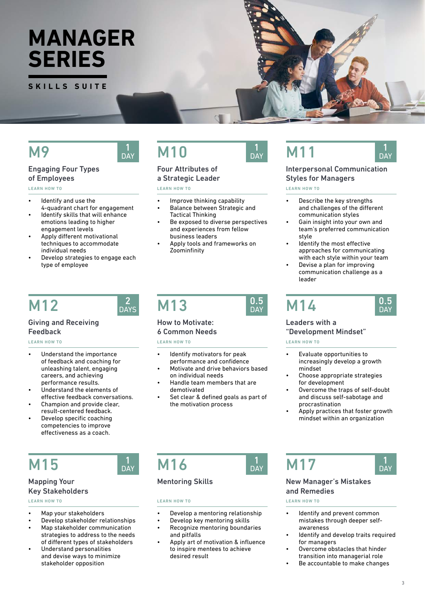## **MANAGER SERIES**

**SKILLS SUITE**

### M9

## Engaging Four Types

#### of Employees LEARN HOW TO

- Identify and use the
- 4-quadrant chart for engagement Identify skills that will enhance emotions leading to higher engagement levels
- Apply different motivational techniques to accommodate individual needs
- Develop strategies to engage each type of employee

## M12

#### Giving and Receiving Feedback

LEARN HOW TO

- Understand the importance of feedback and coaching for unleashing talent, engaging careers, and achieving performance results.
- Understand the elements of effective feedback conversations.
- Champion and provide clear, result-centered feedback.
- Develop specific coaching competencies to improve effectiveness as a coach.

## M15

### Mapping Your

#### Key Stakeholders

LEARN HOW TO

- Map your stakeholders
- Develop stakeholder relationships
- Map stakeholder communication strategies to address to the needs of different types of stakeholders
- Understand personalities and devise ways to minimize stakeholder opposition

## M<sub>10</sub>

### Four Attributes of

#### a Strategic Leader

LEARN HOW TO

- Improve thinking capability
- Balance between Strategic and Tactical Thinking
- Be exposed to diverse perspectives and experiences from fellow business leaders
- Apply tools and frameworks on Zoominfinity

## M13

2 **DAYS** 

> 1 DAY

> 1 DAY

#### How to Motivate: 6 Common Needs

#### LEARN HOW TO

M<sub>16</sub>

LEARN HOW TO

Mentoring Skills

- Identify motivators for peak performance and confidence
- Motivate and drive behaviors based on individual needs
- Handle team members that are demotivated
- Set clear & defined goals as part of the motivation process

## M11

#### Interpersonal Communication Styles for Managers

1 **DAY** 

LEARN HOW TO

- Describe the key strengths and challenges of the different communication styles
- Gain insight into your own and team's preferred communication style
- Identify the most effective approaches for communicating with each style within your team
- Devise a plan for improving communication challenge as a leader



#### Leaders with a "Development Mindset"

#### LEARN HOW TO

- Evaluate opportunities to increasingly develop a growth mindset
- Choose appropriate strategies for development
- Overcome the traps of self-doubt and discuss self-sabotage and procrastination
- Apply practices that foster growth mindset within an organization

## M17

#### 1 **DAY**

#### New Manager's Mistakes and Remedies

#### LEARN HOW TO

- Identify and prevent common mistakes through deeper selfawareness
- Identify and develop traits required for managers
- Overcome obstacles that hinder transition into managerial role
- Be accountable to make changes

DAY

and pitfalls Apply art of motivation & influence to inspire mentees to achieve desired result

• Develop a mentoring relationship

3

 $0.5$ DA<sup>Y</sup>

DAY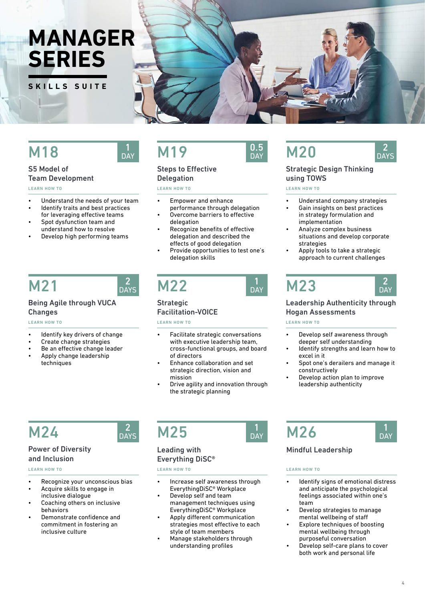## **MANAGER SERIES**

**SKILLS SUITE**

## **M19**

## **Delegation**

LEARN HOW TO

- Empower and enhance
- Overcome barriers to effective
- Recognize benefits of effective delegation and described the
- Provide opportunities to test one's delegation skills

## M21

M18

S5 Model of

LEARN HOW TO

Team Development

• Understand the needs of your team Identify traits and best practices for leveraging effective teams Spot dysfunction team and understand how to resolve • Develop high performing teams

#### Being Agile through VUCA Changes

#### LEARN HOW TO

- Identify key drivers of change
- Create change strategies
- Be an effective change leader
- Apply change leadership techniques

**Strategic** Facilitation-VOICE LEARN HOW TO

- Facilitate strategic conversations with executive leadership team. cross-functional groups, and board of directors
- Enhance collaboration and set strategic direction, vision and mission
- Drive agility and innovation through the strategic planning

M24

#### Power of Diversity and Inclusion

#### LEARN HOW TO

- Recognize your unconscious bias
- Acquire skills to engage in inclusive dialogue
- Coaching others on inclusive behaviors
- Demonstrate confidence and commitment in fostering an inclusive culture

## $M25$   $\frac{1}{20}$   $M26$

#### Leading with Everything DiSC®

LEARN HOW TO LEARN HOW TO

- Increase self awareness through EverythingDiSC® Workplace
- Develop self and team management techniques using EverythingDiSC® Workplace
- Apply different communication strategies most effective to each style of team members
- Manage stakeholders through understanding profiles

## $0.5<sub>DAY</sub>$

### Steps to Effective

- performance through delegation
- delegation
- effects of good delegation
- 



## $\frac{1}{\text{day}}$  M23

#### Leadership Authenticity through Hogan Assessments

• Apply tools to take a strategic approach to current challenges

Understand company strategies Gain insights on best practices

#### LEARN HOW TO

- Develop self awareness through deeper self understanding
- Identify strengths and learn how to excel in it
- Spot one's derailers and manage it constructively
- Develop action plan to improve leadership authenticity

#### Mindful Leadership

- Identify signs of emotional distress and anticipate the psychological feelings associated within one's team
- Develop strategies to manage mental wellbeing of staff
- Explore techniques of boosting mental wellbeing through purposeful conversation
- Develop self-care plans to cover both work and personal life

1 **DAY** 



using TOWS LEARN HOW TO

strategies



2 **DAY** 







DAY







2 **DAYS** 

 $DAY$ 



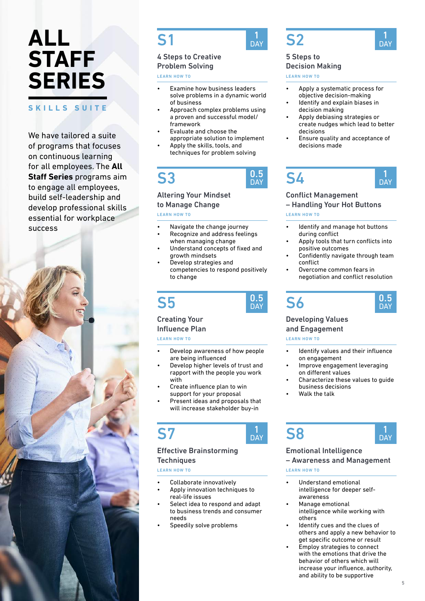#### **SKILLS SUITE**

We have tailored a suite of programs that focuses on continuous learning for all employees. The **All Staff Series** programs aim to engage all employees, build self-leadership and develop professional skills essential for workplace success



## S1

#### 4 Steps to Creative Problem Solving

LEARN HOW TO

- Examine how business leaders solve problems in a dynamic world of business
- Approach complex problems using a proven and successful model/ framework
- Evaluate and choose the appropriate solution to implement
- Apply the skills, tools, and techniques for problem solving

## S3



#### Altering Your Mindset to Manage Change

LEARN HOW TO

- Navigate the change journey
- Recognize and address feelings when managing change
- Understand concepts of fixed and growth mindsets
- Develop strategies and competencies to respond positively to change

## S5



#### Creating Your Influence Plan

LEARN HOW TO

- Develop awareness of how people are being influenced
- Develop higher levels of trust and rapport with the people you work with
- Create influence plan to win support for your proposal
- Present ideas and proposals that will increase stakeholder buy-in

S7



#### Effective Brainstorming **Techniques**

LEARN HOW TO

- Collaborate innovatively
- Apply innovation techniques to real-life issues
- Select idea to respond and adapt to business trends and consumer needs
- Speedily solve problems



DAY



### **DAY**

#### 5 Steps to Decision Making

LEARN HOW TO

- Apply a systematic process for objective decision-making
- Identify and explain biases in decision making
- Apply debiasing strategies or create nudges which lead to better decisions
- Ensure quality and acceptance of decisions made

#### S4 **DAY**

#### Conflict Management

– Handling Your Hot Buttons

#### LEARN HOW TO

- Identify and manage hot buttons during conflict
- Apply tools that turn conflicts into positive outcomes
- Confidently navigate through team conflict
- Overcome common fears in negotiation and conflict resolution



#### Developing Values and Engagement

LEARN HOW TO

S6

- Identify values and their influence on engagement
- Improve engagement leveraging on different values
- Characterize these values to guide business decisions
- Walk the talk





#### Emotional Intelligence

– Awareness and Management

LEARN HOW TO

- Understand emotional intelligence for deeper selfawareness
- Manage emotional intelligence while working with others
- Identify cues and the clues of others and apply a new behavior to get specific outcome or result
- Employ strategies to connect with the emotions that drive the behavior of others which will increase your influence, authority, and ability to be supportive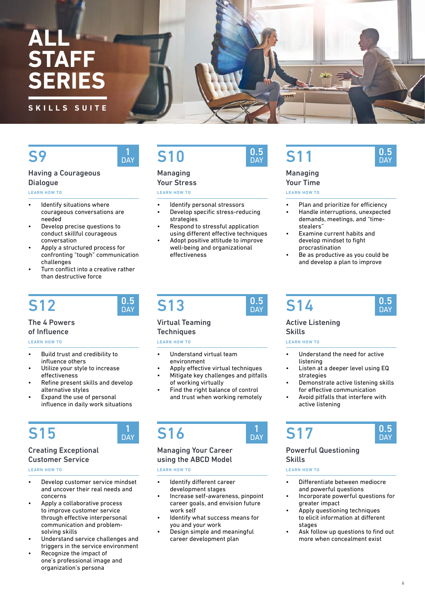#### **SKILLS SUITE**

## S9

#### Having a Courageous **Dialogue**

LEARN HOW TO

- Identify situations where courageous conversations are needed
- Develop precise questions to conduct skillful courageous conversation
- Apply a structured process for confronting "tough" communication challenges
- Turn conflict into a creative rather than destructive force

## S12

#### The 4 Powers of Influence

#### LEARN HOW TO

- Build trust and credibility to influence others
- Utilize your style to increase effectiveness
- Refine present skills and develop alternative styles
- Expand the use of personal influence in daily work situations

## S15

#### Creating Exceptional Customer Service

LEARN HOW TO

- Develop customer service mindset and uncover their real needs and concerns
- Apply a collaborative process to improve customer service through effective interpersonal communication and problemsolving skills
- Understand service challenges and triggers in the service environment
- Recognize the impact of one's professional image and organization's persona

## S10

#### Managing Your Stress

LEARN HOW TO

- Identify personal stressors
- Develop specific stress-reducing strategies
- Respond to stressful application using different effective techniques
- Adopt positive attitude to improve well-being and organizational effectiveness

## S11

### Managing

Your Time

LEARN HOW TO

Plan and prioritize for efficiency

0.5 **DAY** 

- Handle interruptions, unexpected demands, meetings, and "timestealers"
- Examine current habits and develop mindset to fight procrastination
- Be as productive as you could be and develop a plan to improve

## S13

0.5 **DAY** 

DAY

DAY

#### Virtual Teaming

**Techniques** 

#### LEARN HOW TO

- Understand virtual team environment
- Apply effective virtual techniques
- Mitigate key challenges and pitfalls of working virtually
- Find the right balance of control and trust when working remotely

## S16

#### Managing Your Career using the ABCD Model

LEARN HOW TO

- Identify different career development stages
- Increase self-awareness, pinpoint career goals, and envision future work self
- Identify what success means for you and your work
- Design simple and meaningful career development plan



DAY

## S14

#### Active Listening Skills

LEARN HOW TO

- Understand the need for active listening
- Listen at a deeper level using EQ strategies
- Demonstrate active listening skills for effective communication
- Avoid pitfalls that interfere with active listening

## S17

Powerful Questioning Skills

#### LEARN HOW TO

- Differentiate between mediocre and powerful questions
- Incorporate powerful questions for greater impact
- Apply questioning techniques to elicit information at different stages
- Ask follow up questions to find out more when concealment exist

0.5 **DAY** 

0.5 **DAY** 



0.5 DAY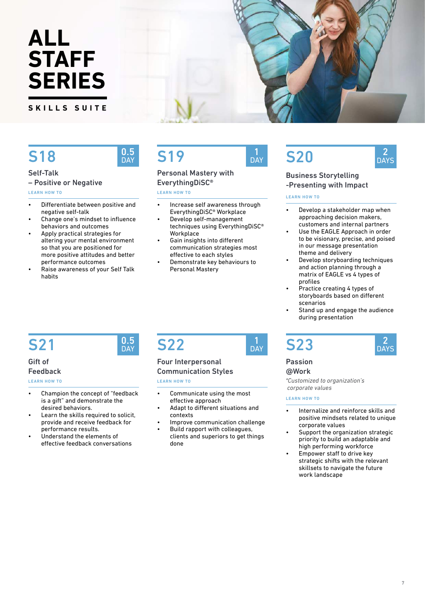**SKILLS SUITE**

## S18

## 0.5<br>DAY

**0.5**<br>DAY

#### Self-Talk – Positive or Negative

LEARN HOW TO

- Differentiate between positive and negative self-talk
- Change one's mindset to influence behaviors and outcomes
- Apply practical strategies for altering your mental environment so that you are positioned for more positive attitudes and better performance outcomes
- Raise awareness of your Self Talk habits

## **S19**

#### Personal Mastery with EverythingDiSC®

LEARN HOW TO

- Increase self awareness through EverythingDiSC® Workplace
- Develop self-management techniques using EverythingDiSC® **Workplace**
- Gain insights into different communication strategies most effective to each styles
- Demonstrate key behaviours to Personal Mastery

## **S20**

**DAY** 

#### 2 **DAYS**

#### Business Storytelling -Presenting with Impact

#### LEARN HOW TO

- Develop a stakeholder map when approaching decision makers, customers and internal partners
- Use the EAGLE Approach in order to be visionary, precise, and poised in our message presentation theme and delivery
- Develop storyboarding techniques and action planning through a matrix of EAGLE vs 4 types of profiles
- Practice creating 4 types of storyboards based on different scenarios
- Stand up and engage the audience during presentation

## S21

#### Gift of Feedback

LEARN HOW TO

- Champion the concept of "feedback is a gift" and demonstrate the desired behaviors.
- Learn the skills required to solicit, provide and receive feedback for performance results.
- Understand the elements of effective feedback conversations

## **S22**

DAY

#### Four Interpersonal Communication Styles

LEARN HOW TO

- Communicate using the most effective approach
- Adapt to different situations and contexts
- Improve communication challenge Build rapport with colleagues.
- clients and superiors to get things done

## S23

| DAY |
|-----|

#### Passion @Work

*\*Customized to organization's corporate values*

#### LEARN HOW TO

- Internalize and reinforce skills and positive mindsets related to unique corporate values
- Support the organization strategic priority to build an adaptable and high performing workforce
- Empower staff to drive key strategic shifts with the relevant skillsets to navigate the future work landscape

7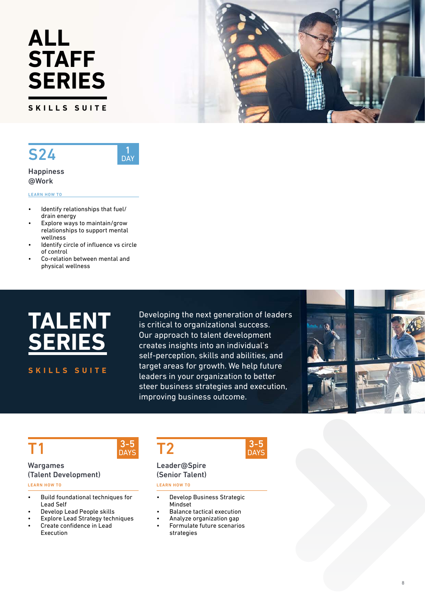**SKILLS SUITE**

## S24



**Happiness** @Work

LEARN HOW TO

- Identify relationships that fuel/ drain energy
- Explore ways to maintain/grow relationships to support mental wellness
- Identify circle of influence vs circle of control
- Co-relation between mental and physical wellness



**SKILLS SUITE**

Developing the next generation of leaders is critical to organizational success. Our approach to talent development creates insights into an individual's self-perception, skills and abilities, and target areas for growth. We help future leaders in your organization to better steer business strategies and execution, improving business outcome.

> 3-5 **DAYS**



### T1

#### Wargames (Talent Development)

LEARN HOW TO

- Build foundational techniques for Lead Self
- Develop Lead People skills
- **Explore Lead Strategy techniques**
- Create confidence in Lead Execution



#### Leader@Spire (Senior Talent)

LEARN HOW TO

- Develop Business Strategic Mindset
- Balance tactical execution
- Analyze organization gap
- Formulate future scenarios strategies